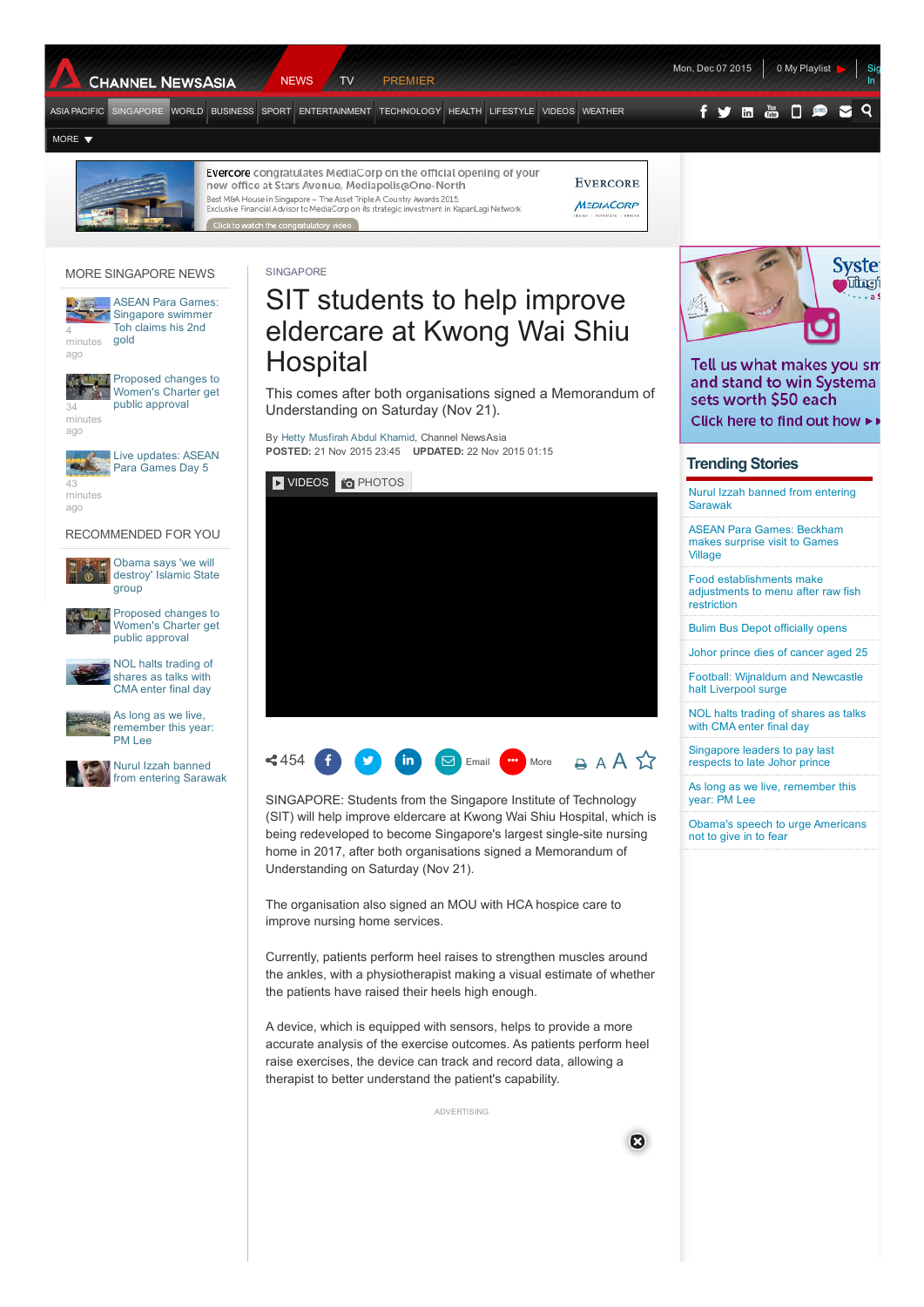



Evercore congratulates MediaCorp on the official opening of your **EVERCORE** new office at Stars Avenue, Mediapolis@One-North Best M&A House in Singapore – The Asset Triple A Country Awards 2015.<br>Exclusive Financial Advisor to MediaCorp on its strategic investment in KapanLagi Network MEDIACORP

[SINGAPORE](http://www.channelnewsasia.com/news/singapore)

#### MORE SINGAPORE NEWS



ASEAN Para Games: [Singapore](http://www.channelnewsasia.com/news/singapore/asean-para-games/2325172.html) swimmer Toh claims his 2nd gold



[Proposed](http://www.channelnewsasia.com/news/singapore/proposed-changes-to-women/2325002.html) changes to Women's Charter get public approval

ago

Live [updates:](http://www.channelnewsasia.com/news/singapore/live-updates-asean-para/2325038.html) ASEAN Para Games Day 5

minutes ago

### RECOMMENDED FOR YOU

group



[Proposed](http://api.cxense.com/public/widget/click/j5YAOualhM11_FcUS8gpSfzdgopWVoUY7UrxyKXakWR7-TFKylJN4ksV0BF_s6hLB-_i2tBc-vBqiRLWK_FxihYOvTfOHJQULUFDJlEkvESqbJDOP9lpvmhwqdNBdLD0jzt3PKzxgZq0xOXx2covLzZPjkx_2NwZ4aMAWFIfh2hLTu3C2EP-8aXagGv_cyHzPWZBKLCu4F7ompdxtrfBWiW1DdyxpGZ11Np4LSI6favt71IPPAMjBvNy2d5fazmQNFXrWnPvfJyyNAW107cOywV3xj4Cyth0lXDEt5Ix6UWFHthmdUROI2E2FHZl2jQhdwB6BG2qB-dV7alLO-va4u-NfOxh-ZqLnGHC1AiVRnnqkIQLqyz3UdtSWd8xwRUQ8MeScKTU5fjY48EJUO9uhNN8wr1DEUbEwj_WhV4gJ3psNrKAIGDnp4VS2xYXC7c0OFaXks2N_87Nc_V3DBnhzhCpc3x0tCcaI3P2NHuKkeCeJRGzyTpdSYdZQGwJ9u7Hmw1pMkOYQbjcKPXMZaRlkrNqRvGBRcf1931AmZRM7e63BztJ15LrvjMiVjs-96HkOnfu14BNfxMbw6YARtrsHbX41ZekQbGX_kF9kNL5Up_jwzDjaDvVMo03rv1iJjiIvf3Yx61aEiirt_g7xAKFDqruHt4DoeGPX26k5iTvPw0?cx_tag=undefined&cid=tg:recos:undefined:standard) changes to Women's Charter get public approval

Obama says 'we will [destroy'](http://api.cxense.com/public/widget/click/HGb6B05vWHqNiYqieqOs7xygBdpiYHmt_pNvqlC7LeI59kRJg8-N-uc_D9uMfgZBOv8Ytly56WWVDUXJZXxnvRmDzS_rkPiZKuvScNhyJnbB1poz8vzV7bhq-Js66LX9H_onajhVFPx9RZ_CxGT-868xlsKjB6HvzRGqDZGrT_IOgq8TyCT1HJL6-Y_7-2nJq1K2AWlTxIENvhc7gNQt_7-zjvE8hxuVA763TGUgqG-hT3c4KvQkK4Envt24VYtvNqctz11X4jO2L399wd3baBU4VEwv_Fy06QgD9mUkWei4W7CQpHDub96ZsOLFzZHLwZl6zrn_BidJvxf0LHWAGB-0II4agPuEjGw4K2hO3wyZXdaELSkb5cSUBqmo1ka0zIOiJi6ex8A3biod5C-1Af84yYOWR0wKSKmL6FRsmC_Mlxv8G2gXiKLc7lMgHWuxeUyEfzxxWTpSOGHVmTKmT4vyhmMCYjZXtgFmjSne8qsBTUkEd3Lpl6qYkp8tqQi2xI8PShrIeI9S3vBrDi9n97pSDMsLRijSXyNXcqWHFZH3uLZLJlWS28q0BD0SzJ73y_6kE5SYHRHxpFYZN2kx2WIMLWUYgETV-h8CQg2ITI8e-ohVFoECi7XGpWlH1EAjkDFArkIBup-7hCiIxAD-aTWNfuc0?cx_tag=undefined&cid=tg:recos:undefined:standard) Islamic State



NOL halts [trading](http://api.cxense.com/public/widget/click/es5twlDpgmY1BIQF-9iqxcDTfE5gHELw7NfuQwKzeTz8yavGTfWxmkqrGObKtm1zQDiiAF3PS0bsWJe7s7oiKuz0whyB3geqoAbZAv491BAs9CzKdxSUeYcLWjaQjmx0wSmhaiyIL7BvWoJHTgL20WJ12OxwtpZG1OymTXdfJXUrlAnSgixDiBwLCGKKLfro6_A6npn3fx08Yq7GFiGAxcxZImE0q9H2cxbG-7xWLiW2dv4NOIFa7SmceFVqTjgkhO4is_3uhnKpttE0kSV-JtEUXvhrzqwVJvAE6-1FWU-RU6FV9Kzl7Du_BBGpjIuAezrYbpMa0jMOAm17sBtNz0ivYAdOGCjaPLiUhRePI_rZLzG9I24TeiO0ksrUp6Nz2hc05wXjqovJZeBV4dFk_mVkF8eTOCk4Pl8apybZdFEi_NcGTBxrounIly8SCzp8oDnYz-UUkY8vcAaHgKO960rJjYEtwMNfCWIpmjp4HkoOYuMmGSwVMbTKK_yzWmFi0cLL5y0BeBtNb9jwkcqLeOdDwKVtbyIbZMe2twhGwdjJk9WNHJlawzDTeW0iqzmUlCN-4d4czgl-bWHZjw_tkACsVrIx9bD_2ZBEwVRUuAxDDTDBJjxsn5FuCwO70W16dUWwko77slFzlFCuUVM285X_upu8-gQo1Q0?cx_tag=undefined&cid=tg:recos:undefined:standard) of shares as talks with CMA enter final day



As long as we live, [remember](http://api.cxense.com/public/widget/click/hko8xBvDlkYV3JBL_faMDH5m-FwhxCWv-u06RSarQLA3JejRD_jW-CkiYW4LpNyA5YwGMLgTezSlz8lNnZ-OHZ8Gm8V8C4Q0KVGEgQFLMZvIYh4qlUo-uaAxMuZMnegY8HA-7mGhs2wApnI1cG47gX3b4p8iq_5V3L8ffzyQkyyehDHvyGbRuMCktxDFHOPdXoJeAmWAyrdMknCGIYaGDpaRvpW9gCdSv-rDLNif5gTCityhtFlM5MXVZBhdYGWJdoA4ikNfypdGZ3ib-sgMDXbF07d3Rh5Tjzd6BCJzIBlftMjImsIU8q-IlZ_fMLe_6C-mMHU8eLkgH64wUeiHM0BUVki3_AuD5rqnFHMzgiBl1kj3vCZJjWLTCKrqyPAkY1SCOpO8KdS10UpgVxF5II80l9IUY-aIEIEFPJ9MnNfzSWROGiLjc9ub7vEiNthd1vnrv2qp8wIosT7fomcCn8EsO2Gkj-Hqj_EzziCcXMSHXrekPWE5lAD7NXUIIg5YMpv74XZ-BFlY9CAL1t60QOIJPu_CkujppUa5-Y9-OdJcmw_uReefOcHBMKV2ZiqmISjYyDqVHp5Z0ybghyeurRE-TZN_pK-WgVutlBrZvlZy9CfX7GwYGT4dZJVyKRTtbvWcgtnzc_rW11hltSSYcRQUg5ipeaRB0?cx_tag=undefined&cid=tg:recos:undefined:standard) this year: PM Lee



Nurul Izzah banned from entering [Sarawak](http://api.cxense.com/public/widget/click/DlvZnjt5jdKb6N-I_vZG8zPRc_RHU-ssUaBTvVeCmwGaVvqa7OMxkH7es9sLvs-l_7ksVYk5h6HEPq5fbaYF0KcuBN11PLyV0MO5Azlj6GdjoqfloWEwZ5jHA2y8O4octyor4vH5hwVVwhK_fODQdJ5ms1B-PqT5_28Ma0Lvx8SSblmQD7s8jli1hjCQdI_rEKRu5llUQt89oDXL9RMWtykMEH7m6cxt0kzimvCwGV97pNyxRcq55MblmWcwUh9D3BswTDVbtnsmCAhn0pQXtdIRGA1uG1hvjvH4_YfVxt4af7Ffsg5bIPu62eNNIs9YTGQ25ATp2nwJREx29dquLufa8s4lIawgdhZJ0pIXN0nNBUw2i1VaA40xuOi2xZq4bdOaoE4Qihs8wdmpvxXxKT_lF_3nLa2ulLccWWTvn2c89cTnfz242dhQfbXPjt1g7v4WjfBtmGuo3SCGT9ZMOkD2m7FvrcHikGK7_rFcIvRdYTWYNY_J0B93RI9LBAeznPB7aL1DfMAUon7Mz6oXyfGvatlXyS5yqIFg4C1rbWVDyiWfnr7mGvjk7omkNFjHTDMkVWkVHM-3Ep0M3lyhM9xq_Kn_sn9sfIqgYTDLplo2oKoiN0gFKRqyhVxfskGTUK7Ra90sJW4x7HO4PCrjwkPQlWsOyUod0ParDsIhwQ0?cx_tag=undefined&cid=tg:recos:undefined:standard)

# SIT students to help improve eldercare at Kwong Wai Shiu **Hospital**

This comes after both organisations signed a Memorandum of Understanding on Saturday (Nov 21).

By Hetty [Musfirah](http://www.channelnewsasia.com/action/news/storiesby/storiesby/678458/storiesby.do?sortBy=latest&bylineId=8940&pageNum=0) Abdul Khamid, Channel NewsAsia POSTED: 21 Nov 2015 23:45 UPDATED: 22 Nov 2015 01:15

<span id="page-0-0"></span>



SINGAPORE: Students from the Singapore Institute of Technology (SIT) will help improve eldercare at Kwong Wai Shiu Hospital, which is being redeveloped to become Singapore's largest single-site nursing home in 2017, after both organisations signed a Memorandum of Understanding on Saturday (Nov 21).

The organisation also signed an MOU with HCA hospice care to improve nursing home services.

Currently, patients perform heel raises to strengthen muscles around the ankles, with a physiotherapist making a visual estimate of whether the patients have raised their heels high enough.

A device, which is equipped with sensors, helps to provide a more accurate analysis of the exercise outcomes. As patients perform heel raise exercises, the device can track and record data, allowing a therapist to better understand the patient's capability.

ADVERTISING

囟



Tell us what makes you sm and stand to win Systema sets worth \$50 each Click here to find out how ▶

## Trending Stories

Nurul Izzah banned from entering [Sarawak](http://api.cxense.com/public/widget/click/tcx3cH1wYwJmB0MY-FaAQ3GfcY3xlVH3lpex1lirRIop-q7iiwhxYo_vqXW_mIjQtX69PGxE6uPwE2gFgttei8XXXCtZwe3PJUWrN7ZzRaf18xIas0pAaz3pt9tbBp7Dq31AWxnGY3Tys7jNt59aD9NjEsPJieVACCXkxbiniTTDb_E2dx6pDuRPDUW0fzJVZnkRbfVa59npk2aEu9hMOg3IJTMW6UXYIHeQAa7-s6vaKDxPSq5YF5VlPsNBKbxPVsWGWcQU1QtTSdE_zAPiMAxTRy6Goh2TO9yrbna981AGav5ykLBPndXgQijxaCw1n9Yu309Tpt9D1C7MswkSCbvBYwoRoS3HCY5JHk5k6QEqGceWcmZZXLLW00_hs74YYXPDLfSws2uT-EODsuV4RPQhwlTVxLcVfmKR6-J5e72hr41uqCK70w1A7W6-kxX2beXRyyOnr7mX7ylb4yW8ap8HduIGUIa_wjbGPkqAyK4EDaIuU9oWQCFTkjTsHtTKS2gk6-6r1x3NYir2d_jusEtQBI8ieWke_BN89SIrw73W7HLCRdpAjFwujJfVepc4c9HcGb6S3E8evU705PbJikcSEA6S4R3fV_1LL-DlIBHHcBOFgyIAErOPG9SRD0kNKvu1ukOq-tbqaQW4-xmCZCu8B5LNHky2y5QgnCb6t2Z5v7U0?cx_tag=trending&cid=tg:recos:trending:standard)

ASEAN Para Games: [Beckham](http://api.cxense.com/public/widget/click/2eaVpYeo74RAHSI2mAokyP9fb7IDtaPfR5_Eg4LlykH_t5FnI3fhtYoi0OXdnKZJjOekMHbtWM1QuVD205ocP3jUVZ8HBpK0YUx3kyE-EKpK_Bh0Q0X61Fk8Xxhnqd8qr9iSYohNjtxCQJD1fivY3mNSvxzUZJh3G5z2NvAzDaKbU3CqxEw-ECUb3BVHxdg4GHrv_e-IXSuIw0KDhKGFJE60graoWB_eOo5iYS3n8KU8UuWdNfsLPiujHSXpfEPli-9y4JZkQNeHHX5vqooRfRSFUU7sKB6-Y4RE7jIwUKQ3iIxwRt08eI9WPnuKLHCxL0zG2K34AtjS2kob7qtXmnMuJIyFvgGVmMThq8GKcrTqFuJTdalpO_dwegTb7PIiapH44x7IJVGLeoeiSxkYTqoFbGvX03tZRG2xZLq0RbmyZhVZCQ7VZ_IHq8Y1vi2bvMa8oteDaKWthYUwooi6fX1Fg8-IPkWQAmNMwSLsf16gpaOrGxazmwamInt8VX-xU5xJbebjOQt9yQakoJMRlPsuwRca7CRJiXvHyk5hRG5Yja9uoZoQgdGI9cNMheCAIOHiEEFEjDwaARjH7EvQOwnxi_2R0egEDQBJwH-qhRiVxhHjRRO_rNFyECSr_Jw8jo5NnbLYzW9DfDN3_gcNpbw6HFQT7kxrIp9FvEoW74YDdA0?cx_tag=trending&cid=tg:recos:trending:standard) makes surprise visit to Games Village

Food [establishments](http://api.cxense.com/public/widget/click/albl4MaLkP7V8SYl7dUbb8CwMhJlePe28p7vXrHSbUbF2PFUtWr4aJaA0kI7XkqLP31o4c-BiZLRIXP9rQn7A9KBKe6HxWnvMi6oYBfC3USxw7gBD9IiMICjQFS95VNZoJ-aBzUEbb3_nH52zMkxfp__mR4qOq_0R1SEpog2D26-hUMZUAuKizTn_c7UGjOusBy3v2ytnd1gcOLek7cBV_sD7vcXCF71YeButNeHb1jP9rFxoBti8oTiLLn6GEJPeHFPh0XxO5yda8ewoajhzzraTirEKUEkbYLN11zE59H0pCcw3ImLoQ8JpXvqrD5NymVq6xBxFKSXv50NGS90gu88RYsOmRyZPYQv7JWHjA0Mp6AXpyETnysP-cu7M1ZRl0K079uh6ynxuO_g8wZbt1bm-d1uC9mqj1O6bXB0cK01O7bvDUwB1hxoTM0-SwQ98QkFWlkBA6H_mgLKe147BksjyqYuleIZwfBNk3fnNS0pT0rH8-XjsiLFwdUhYQ1tvWZRdneQItMSYBQMhsORlF0NS8U9rqysc1sYFPFafmajRqP0JALXgSwsC1fT6qPWBAacU3yK5Ge4MQhUB_3zIekGDRhRl0sdIhGPCIk62kmLWhgUqkYwwDdzDzbxZuE58R4cPv6pXBm0oh3K4_TvGCwAGHxVI8citcdvXP8yTkMkkQ0?cx_tag=trending&cid=tg:recos:trending:standard) make adjustments to menu after raw fish restriction

Bulim Bus Depot [officially](http://api.cxense.com/public/widget/click/XM1gxJik2YW1WD736c0L1Rok51mEtFfltNodAH9qb2gmXJDP7WO2nmrV6hf8rjLk-tdJD41M8p71RYNcHzn3VjAwKeuhYKW0aynfQ6RXCatLyRPw5WNxxleiM0novMIBVbTVSWvrnvPBUU7XI3WT-yodAxSh8mn8RKfCVjv8ABe_nnKNdtuQ3lWuApjzV3v3p_s9j3W19k0ogCgo_wjqNBOvidOHNkxxwgw8NX96yXCoLgGhK5Ce3B0xF8b4QqY4obrBGM421XfmoROiNLWkbg14GCxtQ2InefyKMr4Ldn66sOEZhlh-3d5T-ae3xR97YS9No7yFbWS67S35qG80eSl95omZN-rXVzt6vqBIRse6fjSaHWEPaKMYj_uMcnYHGKtG9Iz6wGctM-VPBGyKmxYTjGWE9lwo3KUUYgib5q5mXz_Nf-9EihuYjx8_iqmvUgpgS-sAVbtBr4zg9LGfSd5iam-zFnivm5ur2jnP4vqA8YSWlDLmLVvsD9rLPynXotKGHPiw6fhOfEyhMRhCpMwjo6TuzYZKlsHE6h9OoU81UTOUoERI0o1Z9BelhvBWx3xIwRC6Ud8ai5GbMSSv8_-nOrgKHuR5GQpGGkS7YRCzikMEqDan8xPj20VY2bjnoLFKA75njXW33mlQlci70BRsWiOf4sIN0Q0?cx_tag=trending&cid=tg:recos:trending:standard) opens

Johor prince dies of [cancer](http://api.cxense.com/public/widget/click/k5NaqsjrfOOnPBhsP_SjtsOSZZm7wqvOANSxGm62glfLZbywpfKjXQZMM5LULlR3AKSNunDKP9t43nPsYAC_6ujKXW5vS0F0e0TKdfTpPYn67zLljPqWSbUXjUC9001A7LKXkHniMm2dfWz1_dlDzFKYasfEuVoYP0VQl8blnVkp2Yh2IYSZ9UebUACALAsjBbL1eJkN6djeAV33H9b0hc7lgV_iqYMe5sRoM_mvl-Zuq_CaUAN2NiWYDiziHGA5yIBsKqIJDbozFYbTND4ggM5bfLQcspwauBrBArRAS8q89LNE8oBz69NFqAbmhJmHTXC2Pe4lszwKRkSNdEsc9HQKhtctAXXJ4_mRjXTv1cbwfhyaQ5L8cFxD2jtLSbbiOCl1xEXEOBPzNiS3vQ_RgXbKdO6qCMCgR60J2zITE31wqgIT2cnGOt8dmkZzvCjyPVHCQSk53vMnqpfYCCVNHyevnVNHGO_DvuuBf0p4HPyiyj1P7ma23UOZ-q4jGBx_nHb8mUHxr2wrwUuNxKX2H5TholZBsUdItncr0G4m4P9aw9YHP1FKVSgzSkkb6iG6i6qZzh41nQBKNhsZ5-0NhanVpo99Upk6RBkyz07BrtV40pBxeWkn6RnvWdDF2mm8dF-NDhNFO5NsiNHfhk7QaATcW4C3jels0Gyh_o37-pE0?cx_tag=trending&cid=tg:recos:trending:standard) aged 25

Football: [Wijnaldum](http://api.cxense.com/public/widget/click/O1UTbFK971Kf_TKUwPTNdCSNQaJ2kaAr3XCMetbiQrkMJLUH7HEzJT0SqG8lG27xYEeHgIMalmRTt5Fk1s5XhHHkBNYynZHiCUJatD1tbujyxNpqhALdA6GcZ4fmI9RTH3ukrzlklJub5E32u68xSfAw98x_iulDcHQOiDQQXFwg4I3NhpAlzo_y6tOgS0TBY-WIMsTK7DhKSVnBd-cZWBVeQB3iMpIE1FN_ldUsaCTR8bcWrs8owwXWjXQGA0ZHAA8uMBdhj-6abAnNRMXM6L2SiLp9HMbGA2xP1BWiLXSsLWuPvNq8C_p1qkvQ7nLqu3FJh7emWidJ-cG-ePBcqVRMAqV1RDctf4CF3XmUxrEU391ONjko7vtMr96p5cwP3Nj1BOWT-sxivxMOPQ9QaA-AXWZI56Jts3iCHv0NNnly4GbSw4eDNLDjdf7WbpNi29q8Q9iYoJ69iB7t0jCSYcMaCH-fNvQyM_k3iGT19hdTK81pkNOjZZbd-Q2b6C8FoM_7QYLCui5idPppQXMxGqfOPvOJnEyub8JP-mra-SJDauLL5SxB9s16csUbiG5XyvBV4dAfl1g7U8m1cAZ0Guv4e1Gi8dynaPgBQrZXJUBRsE19AB-KY0ktRd6eJ8e63Nyv8uWXrHp-8Cvmg3qjYHWEj44N2qdbwDrkJw0?cx_tag=trending&cid=tg:recos:trending:standard) and Newcastle halt Liverpool surge

NOL halts [trading](http://api.cxense.com/public/widget/click/DQ8pMP_eAG8zc0xkGT_vNCAgQuhMQbS7rhOX4mNEyOqMCAdL-jyaWZHgAYy7wkBwu438taH3sc-xovGxWfb544Yx9xXgnaQiAqPbiBefHS6SsAFLTPKH9xxvcu0Ok8BzI_ptI0dt6TjR4cHZuJxScGoMsVJcKE7aOvgqyhB-vMVz4JzaaeJzzsbAmtVDRn5fxGU95UtuA7qvtY9C27lLyNxlZ7kN1K-P3pwnQybB7ACe4nFQAnNz7MgrBxnh-geK_FKa6Zuh2Hkr2dqkWa4q__U0sMfSsJN4y_ScBWdLX4qBY0M9Qdt6iyNePqO-NETWGbV-NYSzytSoy8By87iGQqvDIqq9pNcOximm9Vybket0vSd18UVv7iHh4fG6hJ503-gIvXbm-jFxCLc18UhouJQv-7pniUljNaM4-OtGmdpkJWkXb9NerlTONiYxMTiv468MzKAdb4K_TYmx8G7qP2ApsMSzh1FQdcXpt_xeYwMd7ELs9ikvCCNX3qSU8GXVn4dhlbctq639f1QNAtsv6Tc2fIHcllSjhcp6u1J9LUurm8TNWu-PLfVg8_liipIbK6YjpJE6Nlj72a_SZrFII4MAzqTiqeF-0jXTYrQnDDHrxn7zt2dThgP1ZcSm9OrSmTz2Lrqxqv_w7YeuPQPZRCK3DlBbH5xVujxQpYM0?cx_tag=trending&cid=tg:recos:trending:standard) of shares as talks with CMA enter final day

[Singapore](http://api.cxense.com/public/widget/click/gm5tGeGuBbIxEubDP2XmUV6gUj_zgmv411tHyn7Gf87BmIDht2801FOGFnVlqb4TXQJ7ha0jfKTIihsM2cZVSlfzU1oAAamONMXGRsBPLNaEQIv68PRIPjJ5EU6VIMFfQDA54iTzBNdOoAImb7ZUBPykih3xr_c-WBS_nk6Bijjz4aWoqlQU0wiq7XK2JP9f-EQAkv7GCKS0Ai92H0isV0iggbBgHfqspolD80-XcGLLsortVVI_TPZk9IkKDdayJTMjE1I_28oNYvZqj4JA0h3K1URYNXxXhcF6N-Llxf9RqKpBred_t66u1NHee-r3LcKwpHmdGpvaDt46lO4YOS9smLMoSKdIx2J3UP-peJq6kfSE9c01sNTUyWYt6ECCP44-RXPLDX4T4HUbBUJHDoPpbbsgsFVD_SyWk8c73cOH_Pbo-onF2oxZl4Zttp6yibTbqYMSKgqQV06WCAHBPuB6j5wHDc4kM1ErSf-ckDP4F50gsQqewn7mXTIT1y2tq07_6wb6oLWSR26YILC5chJBB8C7XBZI0JdqQjvqiQhrNZudDtawlCrhTLWZF_zCeA-4JQS8S4K1FX8_hpvEclX8R9_g6gwa_Fm21u6-gxZazhSmg-UrgH6Sy57T9ttloD-UUrbxIgQMbbbBCurlr0o6bb18h-5xUXQsyV8OiSkuyShx0?cx_tag=trending&cid=tg:recos:trending:standard) leaders to pay last respects to late Johor prince

As long as we live, [remember](http://api.cxense.com/public/widget/click/53qg5lMIgj5gEh6TPUsKuRocGUpjhRl8oTVDK3f--CJb4qbSerCELXK0cQYWba9WiZpqZvJhssnpuXl4TEmIWZgN2UcWFmCmoEHDi3t_HWY7NZINTqvQpHX-6XDmeQk8BupbPTUPeK5Sv2VOB-Vm84yzb0WsThJMtyly9WsU3o-AL6rO_s8-4qKg09-f18sDuUiNTXQghTAt82c0enb37riiBozs83ty8rbm8enWZL_L30Ao3IZe3bLHR-bwDzfL99a5INQR0VI97vbjLWh4FyxZY0vyDcDs1ChuzSU0ERlAMoI94_-CO5yf_DFt3AAG1jnhdSc5DAVuj2djpY1VYRwCUGIm2UWpsVx73OVfsobRL3oEOoRoGedMJFu32ZwkM-slfsYUiYwG9LHpUv3APURdYQ_jNyDMGWOH7k3sj-n2f_5dkFA2woFfGiEVvLC-uD95X85uSUgApUCSWHpXy_xSeOiIm6QmGTj0DAPuR6uZFFkQVv5mIbwroYM4uE8omdfKwFeBc0WohXLgGY4PSor6TX2Chbd4ETvht9DMJwoo8dzvqNqtaF1AqoOWLKcnsY-QlTlAOU1oHYYrp_cMFpJYYX8ROaBU_BKs7W_sKEKAl8jYiMXUZmS3ZUErqOnaf1I4YvDhLirKtiKoEM4F_wlffF5WZZPq1BvcCg0?cx_tag=trending&cid=tg:recos:trending:standard) this year: PM Lee

Obama's speech to urge [Americans](http://api.cxense.com/public/widget/click/iBFQDp_xFUxchirjbfTKtcCPa21vTvHI1dw4nNXX2ovsNHG_NWGhGXAJonNa8PXryslaKzHQzGWVDcUJFcYRwQU0p3w9EdDlbYK0xvklUFnptVqiszWupL1JB3bo4QjjWm2bzIRGXdIwP7CUa8YqXGVuWrHDOu_PRglmuazBrPMSK24vRmC0B0uO9t6CTW9Qn04OzUWM3a5Vpr6XityDZA8H5fogrti7BXpay8vuEk7cn2ixwifHyG0rE3TowoGcPS-yzoJE31R_CUHj3wo-u5BBi-D1dqUnKH63NyeneCQGGIp1hovMdaTMDC1kSkJPs36ygTmkJyjEYsATnsyGYoXMNgcebvMpc3iAD0ZL2FBRskMR03FkgNCPdEZeS_YIQvAm2CBJ5qNfSQPBoSv9ZAXWk0xvsY6hzHhscxP5FJriLsfTWuJfGzIVAczwutradFuSdDul3nf3sKq7uTqXZWBmfLDhWSJjG42cRdo8mZljPPDDgyWjSyvttjzztSrEvIFbkzh-35ezNmH2SwT-hhtKpAFz02GS-CWNx5lcCalbehG3BgPenw9CsNeNEGUKElCCMIrIrWDK1OJU7GyNmKIQ8u9PlkHQ-Dr2DzGnHuSdO4CAU6IDpncPEqfCz6rlJ0E4uXFnh1nkh1f0tvYatZImDJ7guAHnfDvZbQ0?cx_tag=trending&cid=tg:recos:trending:standard) not to give in to fear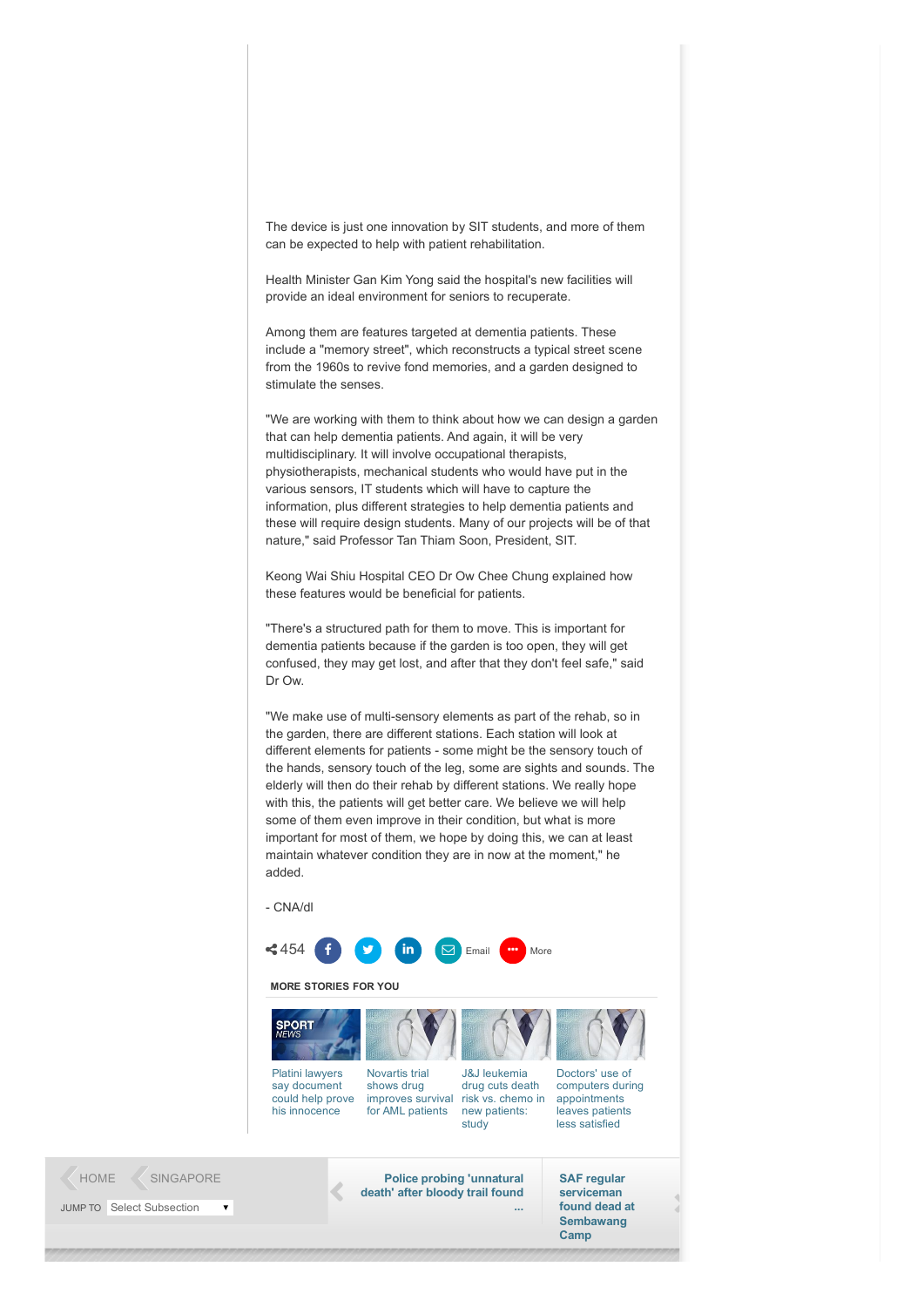The device is just one innovation by SIT students, and more of them can be expected to help with patient rehabilitation.

Health Minister Gan Kim Yong said the hospital's new facilities will provide an ideal environment for seniors to recuperate.

Among them are features targeted at dementia patients. These include a "memory street", which reconstructs a typical street scene from the 1960s to revive fond memories, and a garden designed to stimulate the senses.

"We are working with them to think about how we can design a garden that can help dementia patients. And again, it will be very multidisciplinary. It will involve occupational therapists, physiotherapists, mechanical students who would have put in the various sensors, IT students which will have to capture the information, plus different strategies to help dementia patients and these will require design students. Many of our projects will be of that nature," said Professor Tan Thiam Soon, President, SIT.

Keong Wai Shiu Hospital CEO Dr Ow Chee Chung explained how these features would be beneficial for patients.

"There's a structured path for them to move. This is important for dementia patients because if the garden is too open, they will get confused, they may get lost, and after that they don't feel safe," said Dr Ow.

"We make use of multi-sensory elements as part of the rehab, so in the garden, there are different stations. Each station will look at different elements for patients - some might be the sensory touch of the hands, sensory touch of the leg, some are sights and sounds. The elderly will then do their rehab by different stations. We really hope with this, the patients will get better care. We believe we will help some of them even improve in their condition, but what is more important for most of them, we hope by doing this, we can at least maintain whatever condition they are in now at the moment," he added.

CNA/dl

[HOME](http://www.channelnewsasia.com/news) [SINGAPORE](http://www.channelnewsasia.com/news/singapore) **Police probing ['unnatural](http://www.channelnewsasia.com/news/singapore/police-probing-unnatural/2282532.html)** 



## MORE STORIES FOR YOU



death' after bloody trail found

SAF regular serviceman found dead at **[Sembawang](http://www.channelnewsasia.com/news/singapore/saf-regular-serviceman/2282138.html)** Camp

...

JUMP TO Select Subsection  $\bar{\mathbf{v}}$